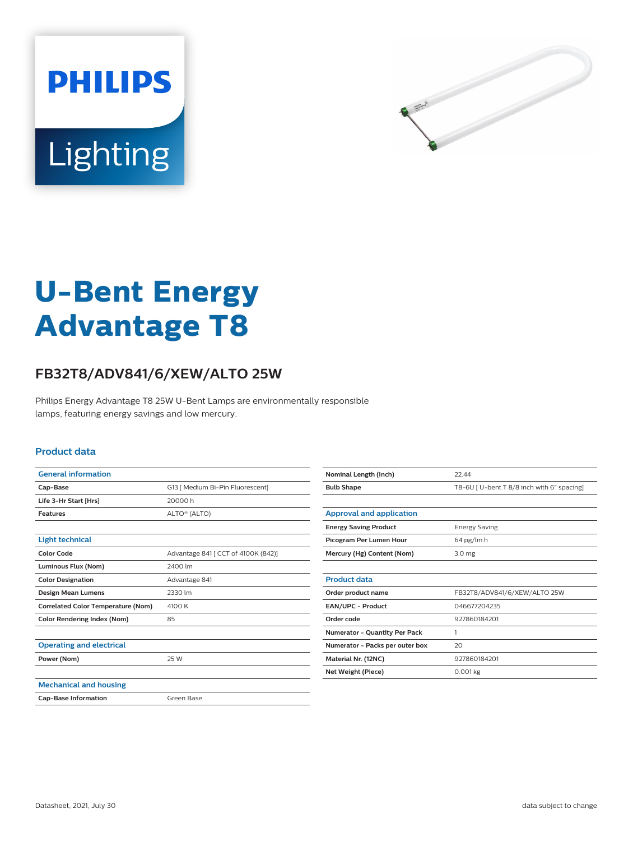



# **U-Bent Energy Advantage T8**

## **FB32T8/ADV841/6/XEW/ALTO 25W**

Philips Energy Advantage T8 25W U-Bent Lamps are environmentally responsible lamps, featuring energy savings and low mercury.

#### **Product data**

| <b>General information</b>                |                                     |
|-------------------------------------------|-------------------------------------|
| Cap-Base                                  | G13   Medium Bi-Pin Fluorescent]    |
| Life 3-Hr Start [Hrs]                     | 20000h                              |
| <b>Features</b>                           | ALTO® (ALTO)                        |
|                                           |                                     |
| <b>Light technical</b>                    |                                     |
| Color Code                                | Advantage 841 [ CCT of 4100K (842)] |
| Luminous Flux (Nom)                       | 2400 lm                             |
| <b>Color Designation</b>                  | Advantage 841                       |
| <b>Design Mean Lumens</b>                 | 2330 lm                             |
| <b>Correlated Color Temperature (Nom)</b> | 4100 K                              |
| <b>Color Rendering Index (Nom)</b>        | 85                                  |
|                                           |                                     |
| <b>Operating and electrical</b>           |                                     |
| Power (Nom)                               | 25 W                                |
|                                           |                                     |
| <b>Mechanical and housing</b>             |                                     |
| <b>Cap-Base Information</b>               | Green Base                          |

| Nominal Length (Inch)                | 22.44                                     |
|--------------------------------------|-------------------------------------------|
| <b>Bulb Shape</b>                    | T8-6U [U-bent T 8/8 inch with 6" spacing] |
|                                      |                                           |
| Approval and application             |                                           |
| <b>Energy Saving Product</b>         | <b>Energy Saving</b>                      |
| Picogram Per Lumen Hour              | 64 pg/lm.h                                |
| Mercury (Hg) Content (Nom)           | 3.0 <sub>mg</sub>                         |
|                                      |                                           |
| <b>Product data</b>                  |                                           |
| Order product name                   | FB32T8/ADV841/6/XEW/ALTO 25W              |
| <b>EAN/UPC - Product</b>             | 046677204235                              |
| Order code                           | 927860184201                              |
| <b>Numerator - Quantity Per Pack</b> | 1                                         |
| Numerator - Packs per outer box      | 20                                        |
| Material Nr. (12NC)                  | 927860184201                              |
| Net Weight (Piece)                   | $0.001$ kg                                |
|                                      |                                           |